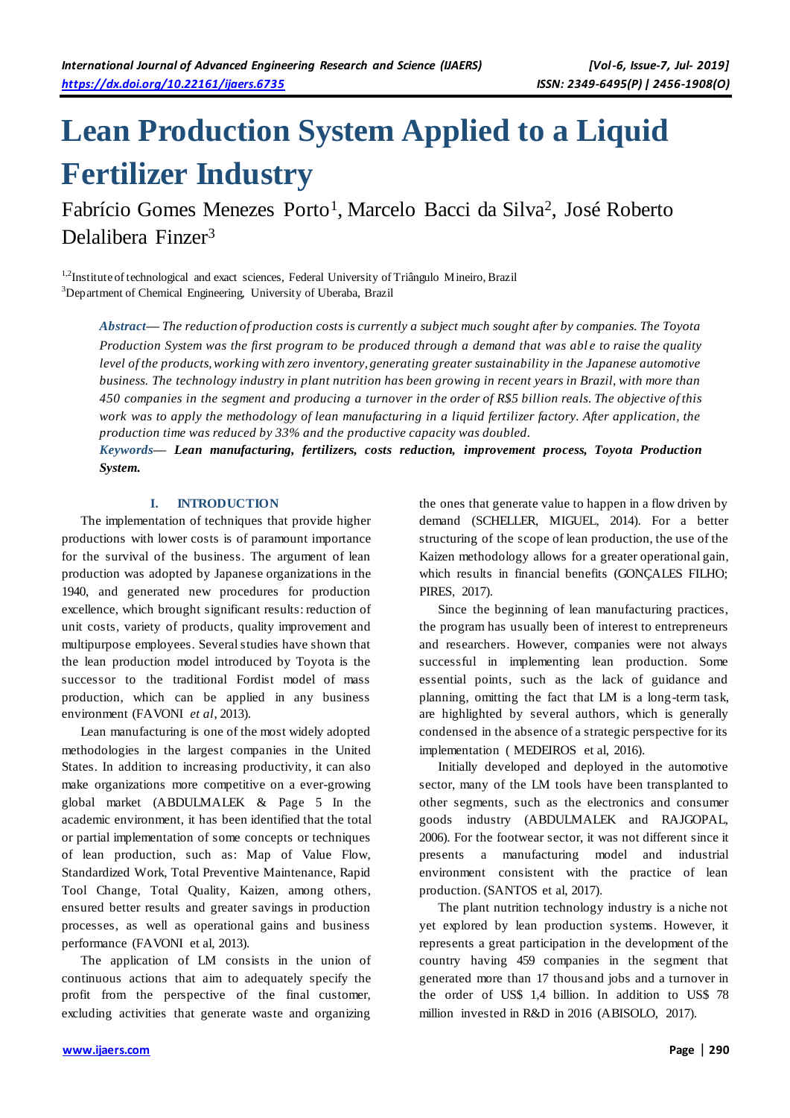# **Lean Production System Applied to a Liquid Fertilizer Industry**

Fabrício Gomes Menezes Porto<sup>1</sup>, Marcelo Bacci da Silva<sup>2</sup>, José Roberto Delalibera Finzer<sup>3</sup>

<sup>1,2</sup>Institute of technological and exact sciences, Federal University of Triângulo Mineiro, Brazil <sup>3</sup>Department of Chemical Engineering, University of Uberaba, Brazil

*Abstract***—** *The reduction of production costs is currently a subject much sought after by companies. The Toyota Production System was the first program to be produced through a demand that was able to raise the quality level of the products, working with zero inventory, generating greater sustainability in the Japanese automotive business. The technology industry in plant nutrition has been growing in recent years in Brazil, with more than 450 companies in the segment and producing a turnover in the order of R\$5 billion reals. The objective of this work was to apply the methodology of lean manufacturing in a liquid fertilizer factory. After application, the production time was reduced by 33% and the productive capacity was doubled.*

*Keywords***—** *Lean manufacturing, fertilizers, costs reduction, improvement process, Toyota Production System.*

## **I. INTRODUCTION**

The implementation of techniques that provide higher productions with lower costs is of paramount importance for the survival of the business. The argument of lean production was adopted by Japanese organizations in the 1940, and generated new procedures for production excellence, which brought significant results: reduction of unit costs, variety of products, quality improvement and multipurpose employees. Several studies have shown that the lean production model introduced by Toyota is the successor to the traditional Fordist model of mass production, which can be applied in any business environment (FAVONI *et al*, 2013).

Lean manufacturing is one of the most widely adopted methodologies in the largest companies in the United States. In addition to increasing productivity, it can also make organizations more competitive on a ever-growing global market (ABDULMALEK & Page 5 In the academic environment, it has been identified that the total or partial implementation of some concepts or techniques of lean production, such as: Map of Value Flow, Standardized Work, Total Preventive Maintenance, Rapid Tool Change, Total Quality, Kaizen, among others, ensured better results and greater savings in production processes, as well as operational gains and business performance (FAVONI et al, 2013).

The application of LM consists in the union of continuous actions that aim to adequately specify the profit from the perspective of the final customer, excluding activities that generate waste and organizing

the ones that generate value to happen in a flow driven by demand (SCHELLER, MIGUEL, 2014). For a better structuring of the scope of lean production, the use of the Kaizen methodology allows for a greater operational gain, which results in financial benefits (GONÇALES FILHO; PIRES, 2017).

Since the beginning of lean manufacturing practices, the program has usually been of interest to entrepreneurs and researchers. However, companies were not always successful in implementing lean production. Some essential points, such as the lack of guidance and planning, omitting the fact that LM is a long-term task, are highlighted by several authors, which is generally condensed in the absence of a strategic perspective for its implementation ( MEDEIROS et al, 2016).

Initially developed and deployed in the automotive sector, many of the LM tools have been transplanted to other segments, such as the electronics and consumer goods industry (ABDULMALEK and RAJGOPAL, 2006). For the footwear sector, it was not different since it presents a manufacturing model and industrial environment consistent with the practice of lean production. (SANTOS et al, 2017).

The plant nutrition technology industry is a niche not yet explored by lean production systems. However, it represents a great participation in the development of the country having 459 companies in the segment that generated more than 17 thousand jobs and a turnover in the order of US\$ 1,4 billion. In addition to US\$ 78 million invested in R&D in 2016 (ABISOLO, 2017).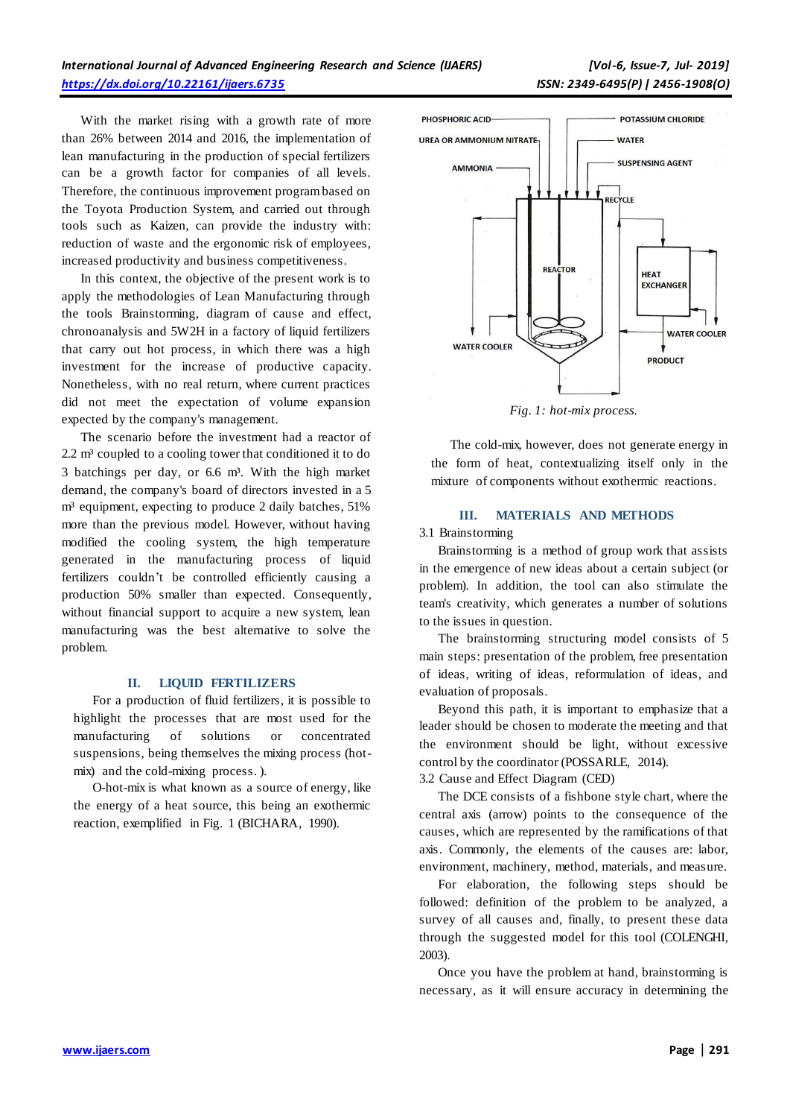With the market rising with a growth rate of more than 26% between 2014 and 2016, the implementation of lean manufacturing in the production of special fertilizers can be a growth factor for companies of all levels. Therefore, the continuous improvement program based on the Toyota Production System, and carried out through tools such as Kaizen, can provide the industry with: reduction of waste and the ergonomic risk of employees, increased productivity and business competitiveness.

In this context, the objective of the present work is to apply the methodologies of Lean Manufacturing through the tools Brainstorming, diagram of cause and effect, chronoanalysis and 5W2H in a factory of liquid fertilizers that carry out hot process, in which there was a high investment for the increase of productive capacity. Nonetheless, with no real return, where current practices did not meet the expectation of volume expansion expected by the company's management.

The scenario before the investment had a reactor of  $2.2 \text{ m}^3$  coupled to a cooling tower that conditioned it to do 3 batchings per day, or 6.6 m³. With the high market demand, the company's board of directors invested in a 5 m<sup>3</sup> equipment, expecting to produce 2 daily batches, 51% more than the previous model. However, without having modified the cooling system, the high temperature generated in the manufacturing process of liquid fertilizers couldn't be controlled efficiently causing a production 50% smaller than expected. Consequently, without financial support to acquire a new system, lean manufacturing was the best alternative to solve the problem.

#### **II. LIQUID FERTILIZERS**

For a production of fluid fertilizers, it is possible to highlight the processes that are most used for the manufacturing of solutions or concentrated suspensions, being themselves the mixing process (hotmix) and the cold-mixing process. ).

O-hot-mix is what known as a source of energy, like the energy of a heat source, this being an exothermic reaction, exemplified in Fig. 1 (BICHARA, 1990).



*Fig. 1: hot-mix process.*

The cold-mix, however, does not generate energy in the form of heat, contextualizing itself only in the mixture of components without exothermic reactions.

## **III. MATERIALS AND METHODS**

3.1 Brainstorming

Brainstorming is a method of group work that assists in the emergence of new ideas about a certain subject (or problem). In addition, the tool can also stimulate the team's creativity, which generates a number of solutions to the issues in question.

The brainstorming structuring model consists of 5 main steps: presentation of the problem, free presentation of ideas, writing of ideas, reformulation of ideas, and evaluation of proposals.

Beyond this path, it is important to emphasize that a leader should be chosen to moderate the meeting and that the environment should be light, without excessive control by the coordinator (POSSARLE, 2014).

3.2 Cause and Effect Diagram (CED)

The DCE consists of a fishbone style chart, where the central axis (arrow) points to the consequence of the causes, which are represented by the ramifications of that axis. Commonly, the elements of the causes are: labor, environment, machinery, method, materials, and measure.

For elaboration, the following steps should be followed: definition of the problem to be analyzed, a survey of all causes and, finally, to present these data through the suggested model for this tool (COLENGHI, 2003).

Once you have the problem at hand, brainstorming is necessary, as it will ensure accuracy in determining the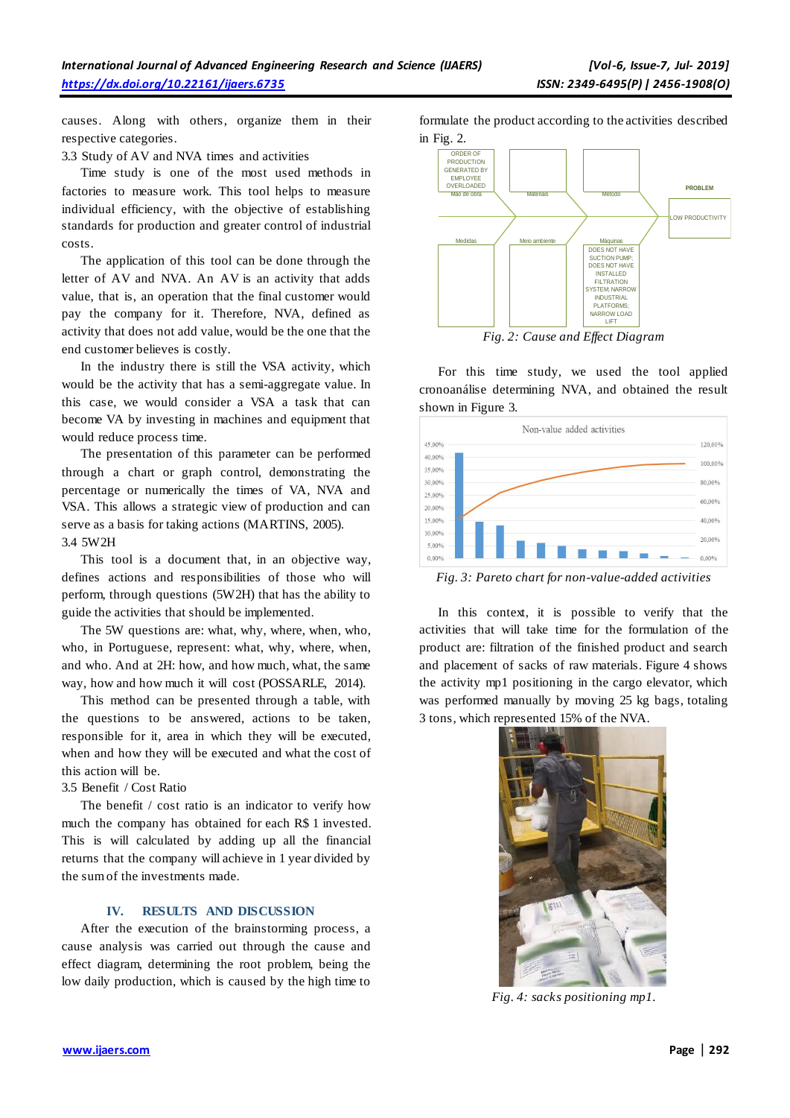causes. Along with others, organize them in their respective categories.

3.3 Study of AV and NVA times and activities

Time study is one of the most used methods in factories to measure work. This tool helps to measure individual efficiency, with the objective of establishing standards for production and greater control of industrial costs.

The application of this tool can be done through the letter of AV and NVA. An AV is an activity that adds value, that is, an operation that the final customer would pay the company for it. Therefore, NVA, defined as activity that does not add value, would be the one that the end customer believes is costly.

In the industry there is still the VSA activity, which would be the activity that has a semi-aggregate value. In this case, we would consider a VSA a task that can become VA by investing in machines and equipment that would reduce process time.

The presentation of this parameter can be performed through a chart or graph control, demonstrating the percentage or numerically the times of VA, NVA and VSA. This allows a strategic view of production and can serve as a basis for taking actions (MARTINS, 2005). 3.4 5W2H

This tool is a document that, in an objective way, defines actions and responsibilities of those who will perform, through questions (5W2H) that has the ability to guide the activities that should be implemented.

The 5W questions are: what, why, where, when, who, who, in Portuguese, represent: what, why, where, when, and who. And at 2H: how, and how much, what, the same way, how and how much it will cost (POSSARLE, 2014).

This method can be presented through a table, with the questions to be answered, actions to be taken, responsible for it, area in which they will be executed, when and how they will be executed and what the cost of this action will be.

3.5 Benefit / Cost Ratio

The benefit / cost ratio is an indicator to verify how much the company has obtained for each R\$ 1 invested. This is will calculated by adding up all the financial returns that the company will achieve in 1 year divided by the sum of the investments made.

## **IV. RESULTS AND DISCUSSION**

After the execution of the brainstorming process, a cause analysis was carried out through the cause and effect diagram, determining the root problem, being the low daily production, which is caused by the high time to formulate the product according to the activities described in Fig. 2.



*Fig. 2: Cause and Effect Diagram*

For this time study, we used the tool applied cronoanálise determining NVA, and obtained the result shown in Figure 3.



*Fig. 3: Pareto chart for non-value-added activities*

In this context, it is possible to verify that the activities that will take time for the formulation of the product are: filtration of the finished product and search and placement of sacks of raw materials. Figure 4 shows the activity mp1 positioning in the cargo elevator, which was performed manually by moving 25 kg bags, totaling 3 tons, which represented 15% of the NVA.



*Fig. 4: sacks positioning mp1.*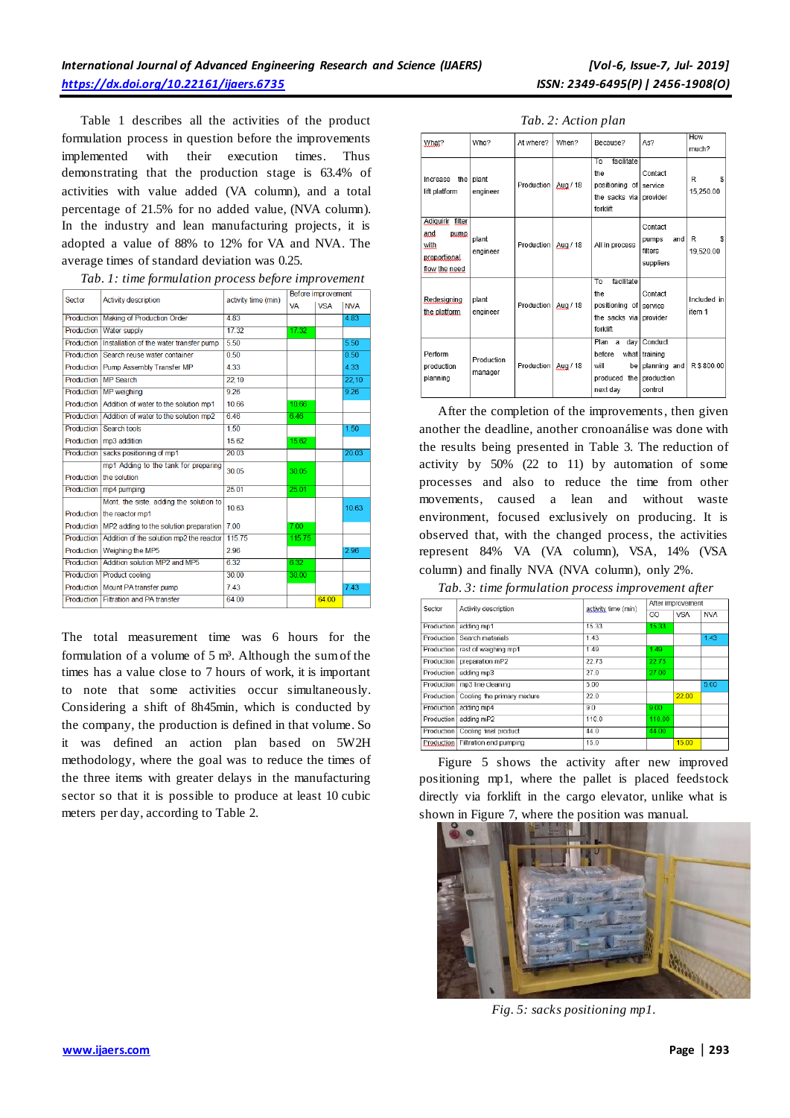Table 1 describes all the activities of the product formulation process in question before the improvements implemented with their execution times. Thus demonstrating that the production stage is 63.4% of activities with value added (VA column), and a total percentage of 21.5% for no added value, (NVA column). In the industry and lean manufacturing projects, it is adopted a value of 88% to 12% for VA and NVA. The average times of standard deviation was 0.25.

| Sector            | <b>Activity description</b>                         | activity time (min) | Before improvement |            |            |  |
|-------------------|-----------------------------------------------------|---------------------|--------------------|------------|------------|--|
|                   |                                                     |                     | <b>VA</b>          | <b>VSA</b> | <b>NVA</b> |  |
| Production        | Making of Production Order                          | 4.83                |                    |            | 4.83       |  |
|                   | Production   Water supply                           | 17.32               | 1732               |            |            |  |
| Production        | Installation of the water transfer pump             | 550                 |                    |            | 5.50       |  |
| <b>Production</b> | Search reuse water container                        | 0.50                |                    |            | 0.50       |  |
|                   | Production   Pump Assembly Transfer MP              | 4.33                |                    |            | 4.33       |  |
| Production        | <b>MP Search</b>                                    | 22.10               |                    |            | 22.10      |  |
| <b>Production</b> | <b>MP</b> weighing                                  | 9.26                |                    |            | 9.26       |  |
| Production        | Addition of water to the solution mp1               | 10.66               | 10.66              |            |            |  |
|                   | Production   Addition of water to the solution mp2  | 6.46                | 6.46               |            |            |  |
| <b>Production</b> | Search tools                                        | 1.50                |                    |            | 1.50       |  |
|                   | Production   mp3 addition                           | 15.62               | 15.62              |            |            |  |
| Production        | sacks positioning of mp1                            | 20.03               |                    |            | 20.03      |  |
|                   | mp1 Adding to the tank for preparing                | 30.05               | 30.05              |            |            |  |
|                   | Production   the solution                           |                     |                    |            |            |  |
| <b>Production</b> | mp4 pumping                                         | 25.01               | 25.01              |            |            |  |
|                   | Mont, the siste, adding the solution to             | 10.63               |                    |            | 10.63      |  |
|                   | Production   the reactor mp1                        |                     |                    |            |            |  |
|                   | Production   MP2 adding to the solution preparation | 7.00                | 7.00               |            |            |  |
| Production        | Addition of the solution mp2 the reactor            | 115.75              | 115.75             |            |            |  |
| Production        | Weighing the MP5                                    | 2.96                |                    |            | 2.96       |  |
| Production        | Addition solution MP2 and MP5                       | 6.32                | 6.32               |            |            |  |
| Production        | <b>Product cooling</b>                              | 30.00               | 30.00              |            |            |  |
|                   | Production   Mount PA transfer pump                 | 743                 |                    |            | 7.43       |  |
| Production        | <b>Filtration and PA transfer</b>                   | 64.00               |                    | 64.00      |            |  |

|  | Tab. 1: time formulation process before improvement |  |
|--|-----------------------------------------------------|--|
|  |                                                     |  |

The total measurement time was 6 hours for the formulation of a volume of 5 m<sup>3</sup>. Although the sum of the times has a value close to 7 hours of work, it is important to note that some activities occur simultaneously. Considering a shift of 8h45min, which is conducted by the company, the production is defined in that volume. So it was defined an action plan based on 5W2H methodology, where the goal was to reduce the times of the three items with greater delays in the manufacturing sector so that it is possible to produce at least 10 cubic meters per day, according to Table 2.

| What?                                                                    | Who?                  | At where?  | When?    | Because?                                                                                     | As?                                                          | How<br>much?          |
|--------------------------------------------------------------------------|-----------------------|------------|----------|----------------------------------------------------------------------------------------------|--------------------------------------------------------------|-----------------------|
| the I<br>Increase<br>lift platform                                       | plant<br>engineer     | Production | Aug / 18 | facilitate<br>To<br>the<br>positioning of<br>the sacks vial<br>forklift                      | Contact<br>service<br>provider                               | s<br>R<br>15.250.00   |
| Adiquirir filter<br>and<br>pump<br>with<br>proportional<br>flow the need | plant<br>engineer     | Production | Aug / 18 | All in process                                                                               | Contact<br>and<br>pumps<br>filters<br>suppliers              | R<br>s<br>19.520.00   |
| Redesigning<br>the platform                                              | plant<br>engineer     | Production | Aug / 18 | facilitate<br>To<br>the<br>positioning of<br>the sacks vial<br>forklift                      | Contact<br>service<br>provider                               | Included in<br>item 1 |
| Perform<br>production<br>planning                                        | Production<br>manager | Production | Aug / 18 | Plan<br>dav<br>$\overline{a}$<br>before<br>what  <br>will<br>bel<br>produced the<br>next day | Conduct<br>training<br>planning and<br>production<br>control | R\$800.00             |

After the completion of the improvements, then given another the deadline, another cronoanálise was done with the results being presented in Table 3. The reduction of activity by 50% (22 to 11) by automation of some processes and also to reduce the time from other movements, caused a lean and without waste environment, focused exclusively on producing. It is observed that, with the changed process, the activities represent 84% VA (VA column), VSA, 14% (VSA column) and finally NVA (NVA column), only 2%.

*Tab. 3: time formulation process improvement after*

| Sector | Activity description                   |                     | After improvement |            |            |
|--------|----------------------------------------|---------------------|-------------------|------------|------------|
|        |                                        | activity time (min) | GO                | <b>VSA</b> | <b>NVA</b> |
|        | Production adding mp1                  | 15.33               | 15.33             |            |            |
|        | Production Search materials            | 1.43                |                   |            | 1.43       |
|        | Production rest of weighing mp1        | 1.49                | 1.49              |            |            |
|        | Production preparation mP2             | 22.73               | 22.73             |            |            |
|        | Production adding mp3                  | 27.0                | 27.00             |            |            |
|        | Production   mp3 line cleaning         | 5.00                |                   |            | 5.00       |
|        | Production Cooling the primary mixture | 22.0                |                   | 22.00      |            |
|        | Production adding mp4                  | 9.0                 | 9.00              |            |            |
|        | Production adding mP2                  | 110.0               | 110.00            |            |            |
|        | Production Cooling final product       | 44.0                | 44.00             |            |            |
|        | Production Filtration and pumping      | 15.0                |                   | 15.00      |            |

Figure 5 shows the activity after new improved positioning mp1, where the pallet is placed feedstock directly via forklift in the cargo elevator, unlike what is shown in Figure 7, where the position was manual.



*Fig. 5: sacks positioning mp1.*